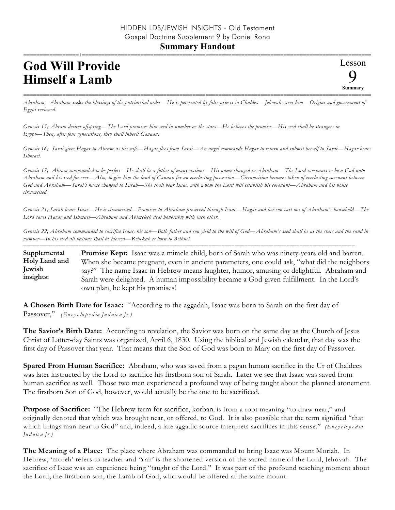## **God Will Provide Himself a Lamb**

=========================================================================================================== *Abraham; Abraham seeks the blessings of the patriarchal order—He is persecuted by false priests in Chaldea—Jehovah saves him—Origins and government of Egypt reviewed.*

*Genesis 15; Abram desires offspring—The Lord promises him seed in number as the stars—He believes the promise—His seed shall be strangers in Egypt—Then, after four generations, they shall inherit Canaan.*

*Genesis 16; Sarai gives Hagar to Abram as his wife—Hagar flees from Sarai—An angel commands Hagar to return and submit herself to Sarai—Hagar bears Ishmael.*

*Genesis 17; Abram commanded to be perfect—He shall be a father of many nations—His name changed to Abraham—The Lord covenants to be a God unto Abraham and his seed for ever—Also, to give him the land of Canaan for an everlasting possession—Circumcision becomes token of everlasting covenant between God and Abraham—Sarai's name changed to Sarah—She shall bear Isaac, with whom the Lord will establish his covenant—Abraham and his house circumcised.*

*Genesis 21; Sarah bears Isaac—He is circumcised—Promises to Abraham preserved through Isaac—Hagar and her son cast out of Abraham's household—The Lord saves Hagar and Ishmael—Abraham and Abimelech deal honorably with each other.*

*Genesis 22; Abraham commanded to sacrifice Isaac, his son—Both father and son yield to the will of God—Abraham's seed shall be as the stars and the sand in number—In his seed all nations shall be blessed—Rebekah is born to Bethuel.*

======================================================================================================

**Promise Kept:** Isaac was a miracle child, born of Sarah who was ninety-years old and barren. When she became pregnant, even in ancient parameters, one could ask, "what did the neighbors say?" The name Isaac in Hebrew means laughter, humor, amusing or delightful. Abraham and Sarah were delighted. A human impossibility became a God-given fulfillment. In the Lord's own plan, he kept his promises! **Supplemental Holy Land and Jewish insights:**

**A Chosen Birth Date for Isaac:** "According to the aggadah, Isaac was born to Sarah on the first day of Passover," *(En c y c lo p e d ia Ju d a ic a Jr.)*

**The Savior's Birth Date:** According to revelation, the Savior was born on the same day as the Church of Jesus Christ of Latter-day Saints was organized, April 6, 1830. Using the biblical and Jewish calendar, that day was the first day of Passover that year. That means that the Son of God was born to Mary on the first day of Passover.

**Spared From Human Sacrifice:** Abraham, who was saved from a pagan human sacrifice in the Ur of Chaldees was later instructed by the Lord to sacrifice his firstborn son of Sarah. Later we see that Isaac was saved from human sacrifice as well. Those two men experienced a profound way of being taught about the planned atonement. The firstborn Son of God, however, would actually be the one to be sacrificed.

**Purpose of Sacrifice:** "The Hebrew term for sacrifice, korban, is from a root meaning "to draw near," and originally denoted that which was brought near, or offered, to God. It is also possible that the term signified "that which brings man near to God" and, indeed, a late aggadic source interprets sacrifices in this sense." *(En c y c lo pedia Ju d a ic a Jr.)*

**The Meaning of a Place:** The place where Abraham was commanded to bring Isaac was Mount Moriah. In Hebrew, 'moreh' refers to teacher and 'Yah' is the shortened version of the sacred name of the Lord, Jehovah. The sacrifice of Isaac was an experience being "taught of the Lord." It was part of the profound teaching moment about the Lord, the firstborn son, the Lamb of God, who would be offered at the same mount.